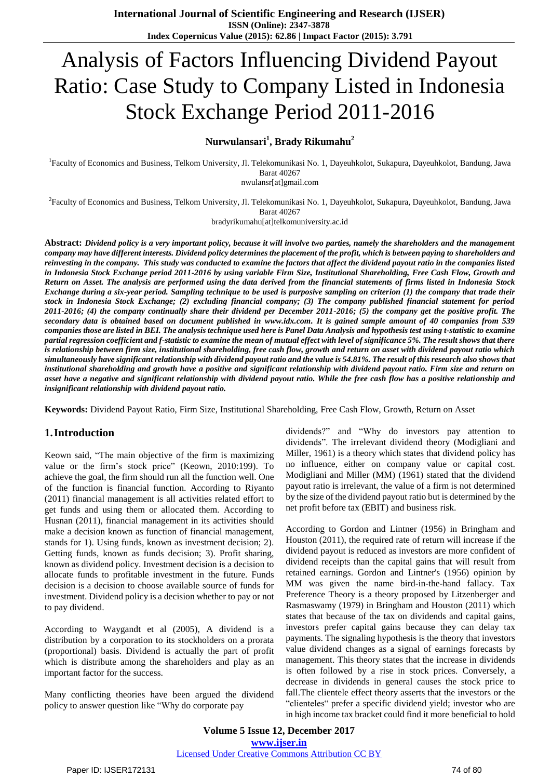# Analysis of Factors Influencing Dividend Payout Ratio: Case Study to Company Listed in Indonesia Stock Exchange Period 2011-2016

## **Nurwulansari<sup>1</sup> , Brady Rikumahu<sup>2</sup>**

<sup>1</sup>Faculty of Economics and Business, Telkom University, Jl. Telekomunikasi No. 1, Dayeuhkolot, Sukapura, Dayeuhkolot, Bandung, Jawa Barat 40267

nwulansr[at]gmail.com

2 Faculty of Economics and Business, Telkom University, Jl. Telekomunikasi No. 1, Dayeuhkolot, Sukapura, Dayeuhkolot, Bandung, Jawa Barat 40267

bradyrikumahu[at]telkomuniversity.ac.id

**Abstract:** *Dividend policy is a very important policy, because it will involve two parties, namely the shareholders and the management company may have different interests. Dividend policy determines the placement of the profit, which is between paying to shareholders and reinvesting in the company. This study was conducted to examine the factors that affect the dividend payout ratio in the companies listed in Indonesia Stock Exchange period 2011-2016 by using variable Firm Size, Institutional Shareholding, Free Cash Flow, Growth and Return on Asset. The analysis are performed using the data derived from the financial statements of firms listed in Indonesia Stock Exchange during a six-year period. Sampling technique to be used is purposive sampling on criterion (1) the company that trade their stock in Indonesia Stock Exchange; (2) excluding financial company; (3) The company published financial statement for period 2011-2016; (4) the company continually share their dividend per December 2011-2016; (5) the company get the positive profit. The secondary data is obtained based on document published in [www.idx.com.](http://www.idx.com/) It is gained sample amount of 40 companies from 539 companies those are listed in BEI. The analysis technique used here is Panel Data Analysis and hypothesis test using t-statistic to examine partial regression coefficient and f-statistic to examine the mean of mutual effect with level of significance 5%. The result shows that there is relationship between firm size, institutional shareholding, free cash flow, growth and return on asset with dividend payout ratio which simultaneously have significant relationship with dividend payout ratio and the value is 54.81%. The result of this research also shows that institutional shareholding and growth have a positive and significant relationship with dividend payout ratio. Firm size and return on asset have a negative and significant relationship with dividend payout ratio. While the free cash flow has a positive relationship and insignificant relationship with dividend payout ratio.*

**Keywords:** Dividend Payout Ratio, Firm Size, Institutional Shareholding, Free Cash Flow, Growth, Return on Asset

#### **1.Introduction**

Keown said, "The main objective of the firm is maximizing value or the firm's stock price" (Keown, 2010:199). To achieve the goal, the firm should run all the function well. One of the function is financial function. According to Riyanto (2011) financial management is all activities related effort to get funds and using them or allocated them. According to Husnan (2011), financial management in its activities should make a decision known as function of financial management, stands for 1). Using funds, known as investment decision; 2). Getting funds, known as funds decision; 3). Profit sharing, known as dividend policy. Investment decision is a decision to allocate funds to profitable investment in the future. Funds decision is a decision to choose available source of funds for investment. Dividend policy is a decision whether to pay or not to pay dividend.

According to Waygandt et al (2005), A dividend is a distribution by a corporation to its stockholders on a prorata (proportional) basis. Dividend is actually the part of profit which is distribute among the shareholders and play as an important factor for the success.

Many conflicting theories have been argued the dividend policy to answer question like "Why do corporate pay

dividends?" and "Why do investors pay attention to dividends". The irrelevant dividend theory (Modigliani and Miller, 1961) is a theory which states that dividend policy has no influence, either on company value or capital cost. Modigliani and Miller (MM) (1961) stated that the dividend payout ratio is irrelevant, the value of a firm is not determined by the size of the dividend payout ratio but is determined by the net profit before tax (EBIT) and business risk.

According to Gordon and Lintner (1956) in Bringham and Houston (2011), the required rate of return will increase if the dividend payout is reduced as investors are more confident of dividend receipts than the capital gains that will result from retained earnings. Gordon and Lintner's (1956) opinion by MM was given the name bird-in-the-hand fallacy. Tax Preference Theory is a theory proposed by Litzenberger and Rasmaswamy (1979) in Bringham and Houston (2011) which states that because of the tax on dividends and capital gains, investors prefer capital gains because they can delay tax payments. The signaling hypothesis is the theory that investors value dividend changes as a signal of earnings forecasts by management. This theory states that the increase in dividends is often followed by a rise in stock prices. Conversely, a decrease in dividends in general causes the stock price to fall.The clientele effect theory asserts that the investors or the "clienteles" prefer a specific dividend yield; investor who are in high income tax bracket could find it more beneficial to hold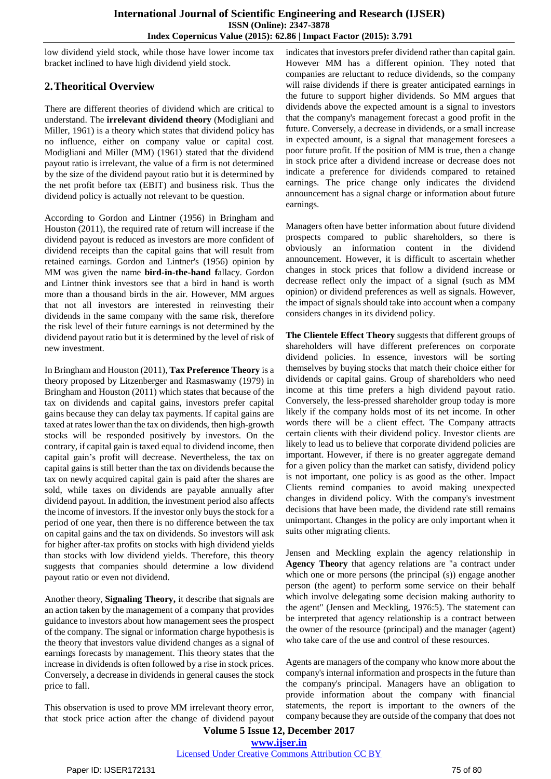low dividend yield stock, while those have lower income tax bracket inclined to have high dividend yield stock.

# **2.Theoritical Overview**

There are different theories of dividend which are critical to understand. The **irrelevant dividend theory** (Modigliani and Miller, 1961) is a theory which states that dividend policy has no influence, either on company value or capital cost. Modigliani and Miller (MM) (1961) stated that the dividend payout ratio is irrelevant, the value of a firm is not determined by the size of the dividend payout ratio but it is determined by the net profit before tax (EBIT) and business risk. Thus the dividend policy is actually not relevant to be question.

According to Gordon and Lintner (1956) in Bringham and Houston (2011), the required rate of return will increase if the dividend payout is reduced as investors are more confident of dividend receipts than the capital gains that will result from retained earnings. Gordon and Lintner's (1956) opinion by MM was given the name **bird-in-the-hand f**allacy. Gordon and Lintner think investors see that a bird in hand is worth more than a thousand birds in the air. However, MM argues that not all investors are interested in reinvesting their dividends in the same company with the same risk, therefore the risk level of their future earnings is not determined by the dividend payout ratio but it is determined by the level of risk of new investment.

In Bringham and Houston (2011), **Tax Preference Theory** is a theory proposed by Litzenberger and Rasmaswamy (1979) in Bringham and Houston (2011) which states that because of the tax on dividends and capital gains, investors prefer capital gains because they can delay tax payments. If capital gains are taxed at rates lower than the tax on dividends, then high-growth stocks will be responded positively by investors. On the contrary, if capital gain is taxed equal to dividend income, then capital gain's profit will decrease. Nevertheless, the tax on capital gains is still better than the tax on dividends because the tax on newly acquired capital gain is paid after the shares are sold, while taxes on dividends are payable annually after dividend payout. In addition, the investment period also affects the income of investors. If the investor only buys the stock for a period of one year, then there is no difference between the tax on capital gains and the tax on dividends. So investors will ask for higher after-tax profits on stocks with high dividend yields than stocks with low dividend yields. Therefore, this theory suggests that companies should determine a low dividend payout ratio or even not dividend.

Another theory, **Signaling Theory,** it describe that **s**ignals are an action taken by the management of a company that provides guidance to investors about how management sees the prospect of the company. The signal or information charge hypothesis is the theory that investors value dividend changes as a signal of earnings forecasts by management. This theory states that the increase in dividends is often followed by a rise in stock prices. Conversely, a decrease in dividends in general causes the stock price to fall.

This observation is used to prove MM irrelevant theory error, that stock price action after the change of dividend payout indicates that investors prefer dividend rather than capital gain. However MM has a different opinion. They noted that companies are reluctant to reduce dividends, so the company will raise dividends if there is greater anticipated earnings in the future to support higher dividends. So MM argues that dividends above the expected amount is a signal to investors that the company's management forecast a good profit in the future. Conversely, a decrease in dividends, or a small increase in expected amount, is a signal that management foresees a poor future profit. If the position of MM is true, then a change in stock price after a dividend increase or decrease does not indicate a preference for dividends compared to retained earnings. The price change only indicates the dividend announcement has a signal charge or information about future earnings.

Managers often have better information about future dividend prospects compared to public shareholders, so there is obviously an information content in the dividend announcement. However, it is difficult to ascertain whether changes in stock prices that follow a dividend increase or decrease reflect only the impact of a signal (such as MM opinion) or dividend preferences as well as signals. However, the impact of signals should take into account when a company considers changes in its dividend policy.

**The Clientele Effect Theory** suggests that different groups of shareholders will have different preferences on corporate dividend policies. In essence, investors will be sorting themselves by buying stocks that match their choice either for dividends or capital gains. Group of shareholders who need income at this time prefers a high dividend payout ratio. Conversely, the less-pressed shareholder group today is more likely if the company holds most of its net income. In other words there will be a client effect. The Company attracts certain clients with their dividend policy. Investor clients are likely to lead us to believe that corporate dividend policies are important. However, if there is no greater aggregate demand for a given policy than the market can satisfy, dividend policy is not important, one policy is as good as the other. Impact Clients remind companies to avoid making unexpected changes in dividend policy. With the company's investment decisions that have been made, the dividend rate still remains unimportant. Changes in the policy are only important when it suits other migrating clients.

Jensen and Meckling explain the agency relationship in **Agency Theory** that agency relations are "a contract under which one or more persons (the principal (s)) engage another person (the agent) to perform some service on their behalf which involve delegating some decision making authority to the agent" (Jensen and Meckling, 1976:5). The statement can be interpreted that agency relationship is a contract between the owner of the resource (principal) and the manager (agent) who take care of the use and control of these resources.

Agents are managers of the company who know more about the company's internal information and prospects in the future than the company's principal. Managers have an obligation to provide information about the company with financial statements, the report is important to the owners of the company because they are outside of the company that does not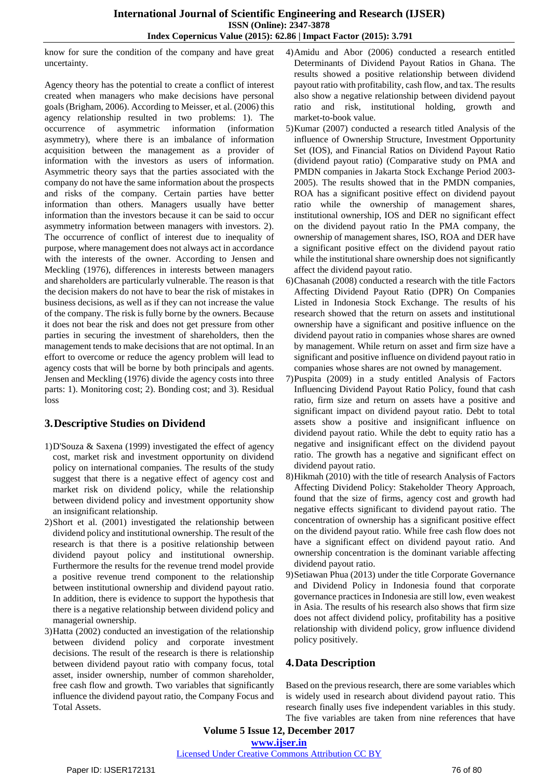know for sure the condition of the company and have great uncertainty.

Agency theory has the potential to create a conflict of interest created when managers who make decisions have personal goals (Brigham, 2006). According to Meisser, et al. (2006) this agency relationship resulted in two problems: 1). The occurrence of asymmetric information (information asymmetry), where there is an imbalance of information acquisition between the management as a provider of information with the investors as users of information. Asymmetric theory says that the parties associated with the company do not have the same information about the prospects and risks of the company. Certain parties have better information than others. Managers usually have better information than the investors because it can be said to occur asymmetry information between managers with investors. 2). The occurrence of conflict of interest due to inequality of purpose, where management does not always act in accordance with the interests of the owner. According to Jensen and Meckling (1976), differences in interests between managers and shareholders are particularly vulnerable. The reason is that the decision makers do not have to bear the risk of mistakes in business decisions, as well as if they can not increase the value of the company. The risk is fully borne by the owners. Because it does not bear the risk and does not get pressure from other parties in securing the investment of shareholders, then the management tends to make decisions that are not optimal. In an effort to overcome or reduce the agency problem will lead to agency costs that will be borne by both principals and agents. Jensen and Meckling (1976) divide the agency costs into three parts: 1). Monitoring cost; 2). Bonding cost; and 3). Residual loss

#### **3.Descriptive Studies on Dividend**

- 1)D'Souza & Saxena (1999) investigated the effect of agency cost, market risk and investment opportunity on dividend policy on international companies. The results of the study suggest that there is a negative effect of agency cost and market risk on dividend policy, while the relationship between dividend policy and investment opportunity show an insignificant relationship.
- 2)Short et al. (2001) investigated the relationship between dividend policy and institutional ownership. The result of the research is that there is a positive relationship between dividend payout policy and institutional ownership. Furthermore the results for the revenue trend model provide a positive revenue trend component to the relationship between institutional ownership and dividend payout ratio. In addition, there is evidence to support the hypothesis that there is a negative relationship between dividend policy and managerial ownership.
- 3)Hatta (2002) conducted an investigation of the relationship between dividend policy and corporate investment decisions. The result of the research is there is relationship between dividend payout ratio with company focus, total asset, insider ownership, number of common shareholder, free cash flow and growth. Two variables that significantly influence the dividend payout ratio, the Company Focus and Total Assets.
- 4)Amidu and Abor (2006) conducted a research entitled Determinants of Dividend Payout Ratios in Ghana. The results showed a positive relationship between dividend payout ratio with profitability, cash flow, and tax. The results also show a negative relationship between dividend payout ratio and risk, institutional holding, growth and market-to-book value.
- 5)Kumar (2007) conducted a research titled Analysis of the influence of Ownership Structure, Investment Opportunity Set (IOS), and Financial Ratios on Dividend Payout Ratio (dividend payout ratio) (Comparative study on PMA and PMDN companies in Jakarta Stock Exchange Period 2003- 2005). The results showed that in the PMDN companies, ROA has a significant positive effect on dividend payout ratio while the ownership of management shares, institutional ownership, IOS and DER no significant effect on the dividend payout ratio In the PMA company, the ownership of management shares, ISO, ROA and DER have a significant positive effect on the dividend payout ratio while the institutional share ownership does not significantly affect the dividend payout ratio.
- 6)Chasanah (2008) conducted a research with the title Factors Affecting Dividend Payout Ratio (DPR) On Companies Listed in Indonesia Stock Exchange. The results of his research showed that the return on assets and institutional ownership have a significant and positive influence on the dividend payout ratio in companies whose shares are owned by management. While return on asset and firm size have a significant and positive influence on dividend payout ratio in companies whose shares are not owned by management.
- 7)Puspita (2009) in a study entitled Analysis of Factors Influencing Dividend Payout Ratio Policy, found that cash ratio, firm size and return on assets have a positive and significant impact on dividend payout ratio. Debt to total assets show a positive and insignificant influence on dividend payout ratio. While the debt to equity ratio has a negative and insignificant effect on the dividend payout ratio. The growth has a negative and significant effect on dividend payout ratio.
- 8)Hikmah (2010) with the title of research Analysis of Factors Affecting Dividend Policy: Stakeholder Theory Approach, found that the size of firms, agency cost and growth had negative effects significant to dividend payout ratio. The concentration of ownership has a significant positive effect on the dividend payout ratio. While free cash flow does not have a significant effect on dividend payout ratio. And ownership concentration is the dominant variable affecting dividend payout ratio.
- 9)Setiawan Phua (2013) under the title Corporate Governance and Dividend Policy in Indonesia found that corporate governance practices in Indonesia are still low, even weakest in Asia. The results of his research also shows that firm size does not affect dividend policy, profitability has a positive relationship with dividend policy, grow influence dividend policy positively.

## **4.Data Description**

Based on the previous research, there are some variables which is widely used in research about dividend payout ratio. This research finally uses five independent variables in this study. The five variables are taken from nine references that have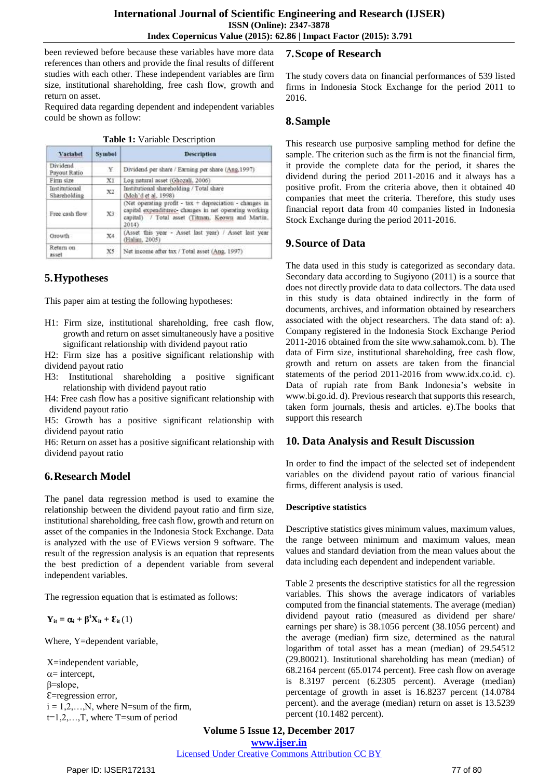been reviewed before because these variables have more data references than others and provide the final results of different studies with each other. These independent variables are firm size, institutional shareholding, free cash flow, growth and return on asset.

Required data regarding dependent and independent variables could be shown as follow:

|  |  | Table 1: Variable Description |
|--|--|-------------------------------|
|--|--|-------------------------------|

| Variabel                      | <b>Symbol</b> | <b>Description</b>                                                                                                                                                             |  |  |  |  |
|-------------------------------|---------------|--------------------------------------------------------------------------------------------------------------------------------------------------------------------------------|--|--|--|--|
| Dividend<br>Payout Ratio      | Y             | Dividend per share / Earning per share (Ang. 1997)                                                                                                                             |  |  |  |  |
| Firm size                     | X1            | Log natural asset (Ghozali, 2006)                                                                                                                                              |  |  |  |  |
| Institutional<br>Shareholding | X2            | Institutional shareholding / Total share<br>(Moh'd et al. 1998)                                                                                                                |  |  |  |  |
| Free cash flow                | X3            | (Net operating profit - tax + depreciation - changes in<br>capital expenditurec- changes in net operating working<br>capital) / Total asset (Titman, Keown and Martin,<br>2014 |  |  |  |  |
| Growth                        | X4.           | (Asset this year - Asset last year) / Asset last year<br>(Halim, 2005)                                                                                                         |  |  |  |  |
| Return on<br>asset            | X5            | Net income after tax / Total asset (Ang. 1997).                                                                                                                                |  |  |  |  |

# **5.Hypotheses**

This paper aim at testing the following hypotheses:

H1: Firm size, institutional shareholding, free cash flow, growth and return on asset simultaneously have a positive significant relationship with dividend payout ratio

H2: Firm size has a positive significant relationship with dividend payout ratio

H3: Institutional shareholding a positive significant relationship with dividend payout ratio

H4: Free cash flow has a positive significant relationship with dividend payout ratio

H5: Growth has a positive significant relationship with dividend payout ratio

H6: Return on asset has a positive significant relationship with dividend payout ratio

#### **6.Research Model**

The panel data regression method is used to examine the relationship between the dividend payout ratio and firm size, institutional shareholding, free cash flow, growth and return on asset of the companies in the Indonesia Stock Exchange. Data is analyzed with the use of EViews version 9 software. The result of the regression analysis is an equation that represents the best prediction of a dependent variable from several independent variables.

The regression equation that is estimated as follows:

 $\mathbf{Y}_{it} = \boldsymbol{\alpha}_i + \boldsymbol{\beta}^t \mathbf{X}_{it} + \boldsymbol{\epsilon}_{it}(1)$ 

Where, Y=dependent variable,

X=independent variable,  $\alpha$ = intercept, β=slope, Ɛ=regression error,  $i = 1, 2, \ldots, N$ , where N=sum of the firm, t=1,2,…,T, where T=sum of period

## **7.Scope of Research**

The study covers data on financial performances of 539 listed firms in Indonesia Stock Exchange for the period 2011 to 2016.

#### **8.Sample**

This research use purposive sampling method for define the sample. The criterion such as the firm is not the financial firm, it provide the complete data for the period, it shares the dividend during the period 2011-2016 and it always has a positive profit. From the criteria above, then it obtained 40 companies that meet the criteria. Therefore, this study uses financial report data from 40 companies listed in Indonesia Stock Exchange during the period 2011-2016.

#### **9.Source of Data**

The data used in this study is categorized as secondary data. Secondary data according to Sugiyono (2011) is a source that does not directly provide data to data collectors. The data used in this study is data obtained indirectly in the form of documents, archives, and information obtained by researchers associated with the object researchers. The data stand of: a). Company registered in the Indonesia Stock Exchange Period 2011-2016 obtained from the site www.sahamok.com. b). The data of Firm size, institutional shareholding, free cash flow, growth and return on assets are taken from the financial statements of the period 2011-2016 from www.idx.co.id. c). Data of rupiah rate from Bank Indonesia's website in www.bi.go.id. d). Previous research that supports this research, taken form journals, thesis and articles. e).The books that support this research

#### **10. Data Analysis and Result Discussion**

In order to find the impact of the selected set of independent variables on the dividend payout ratio of various financial firms, different analysis is used.

#### **Descriptive statistics**

Descriptive statistics gives minimum values, maximum values, the range between minimum and maximum values, mean values and standard deviation from the mean values about the data including each dependent and independent variable.

Table 2 presents the descriptive statistics for all the regression variables. This shows the average indicators of variables computed from the financial statements. The average (median) dividend payout ratio (measured as dividend per share/ earnings per share) is 38.1056 percent (38.1056 percent) and the average (median) firm size, determined as the natural logarithm of total asset has a mean (median) of 29.54512 (29.80021). Institutional shareholding has mean (median) of 68.2164 percent (65.0174 percent). Free cash flow on average is 8.3197 percent (6.2305 percent). Average (median) percentage of growth in asset is 16.8237 percent (14.0784 percent). and the average (median) return on asset is 13.5239 percent (10.1482 percent).

## **Volume 5 Issue 12, December 2017 <www.ijser.in>**

[Licensed Under Creative Commons Attribution CC BY](http://creativecommons.org/licenses/by/4.0/)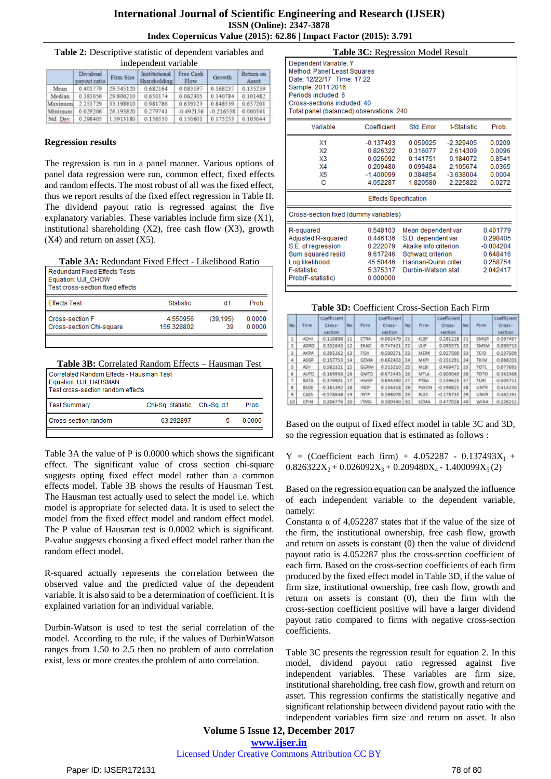|           | independent variable    |                    |                               |                    |                   |           |  |  |  |
|-----------|-------------------------|--------------------|-------------------------------|--------------------|-------------------|-----------|--|--|--|
|           | Dividend<br>syout ratio | Firm Size          | Institutional<br>Shareholding | Free Cash<br>Flow: | Growth            | Return on |  |  |  |
| Mean      | 0.401779                | 29.545120          | 0.682164                      | 0.083197           | 0.168237          | 0.135239  |  |  |  |
| Median    |                         | 0.381056 29.800210 | 0.650174                      | 0.062305 0.140784  |                   | 0.101482  |  |  |  |
| Maximum   |                         | 2.251729 33.198810 | 0.981786                      |                    | 0.639323 0.848539 | 0.657201  |  |  |  |
| Minimum   |                         | 0.029206 26.193820 | 0.279741                      | $-0.492156$        | $-0.216538$       | 0.000541  |  |  |  |
| Std. Dev. |                         | 0.298405 1.5913180 | 0.156550                      | 0.150601           | 0.175253          | 0.105044  |  |  |  |

#### **Regression results**

The regression is run in a panel manner. Various options of panel data regression were run, common effect, fixed effects and random effects. The most robust of all was the fixed effect, thus we report results of the fixed effect regression in Table II. The dividend payout ratio is regressed against the five explanatory variables. These variables include firm size (X1), institutional shareholding (X2), free cash flow (X3), growth  $(X4)$  and return on asset  $(X5)$ .

**Table 3A:** Redundant Fixed Effect - Likelihood Ratio

| Redundant Fixed Effects Tests<br>Equation: UJI CHOW<br>Test cross-section fixed effects |                  |          |        |
|-----------------------------------------------------------------------------------------|------------------|----------|--------|
| <b>Effects Test</b>                                                                     | <b>Statistic</b> | d f.     | Prob.  |
| Cross-section F                                                                         | 4.550956         | (39.195) | 0.0000 |
| Cross-section Chi-square                                                                | 155.328802       | 39       | 0.0000 |
|                                                                                         |                  |          |        |

**Table 3B:** Correlated Random Effects – Hausman Test

| l Correlated Random Effects - Hausman Test<br>Equation: UJI HAUSMAN<br>Test cross-section random effects |           |  |        |  |  |  |  |
|----------------------------------------------------------------------------------------------------------|-----------|--|--------|--|--|--|--|
| <b>Test Summary</b><br>Prob.<br>Chi-Sq. Statistic Chi-Sq. d.f.                                           |           |  |        |  |  |  |  |
| Cross-section random                                                                                     | 63.292897 |  | 0.0000 |  |  |  |  |
|                                                                                                          |           |  |        |  |  |  |  |

Table 3A the value of P is 0.0000 which shows the significant effect. The significant value of cross section chi-square suggests opting fixed effect model rather than a common effects model. Table 3B shows the results of Hausman Test. The Hausman test actually used to select the model i.e. which model is appropriate for selected data. It is used to select the model from the fixed effect model and random effect model. The P value of Hausman test is 0.0002 which is significant. P-value suggests choosing a fixed effect model rather than the random effect model.

R-squared actually represents the correlation between the observed value and the predicted value of the dependent variable. It is also said to be a determination of coefficient. It is explained variation for an individual variable.

Durbin-Watson is used to test the serial correlation of the model. According to the rule, if the values of DurbinWatson ranges from 1.50 to 2.5 then no problem of auto correlation exist, less or more creates the problem of auto correlation.

| Table 3C: Regression Model Result |
|-----------------------------------|
|-----------------------------------|

| Dependent Variable: Y<br>Method: Panel Least Squares<br>Date: 12/22/17 Time: 17:22<br>Sample: 2011 2016<br>Periods included: 6<br>Cross-sections included: 40<br>Total panel (balanced) observations: 240 |                                                                                  |                                                                      |                                                                                                                                      |                                                          |  |  |  |  |  |
|-----------------------------------------------------------------------------------------------------------------------------------------------------------------------------------------------------------|----------------------------------------------------------------------------------|----------------------------------------------------------------------|--------------------------------------------------------------------------------------------------------------------------------------|----------------------------------------------------------|--|--|--|--|--|
| Coefficient<br>Std. Error<br>t-Statistic<br>Prob.<br>Variable                                                                                                                                             |                                                                                  |                                                                      |                                                                                                                                      |                                                          |  |  |  |  |  |
| X1<br>X2<br>X3<br>X4<br>X5<br>с                                                                                                                                                                           | $-0.137493$<br>0.826322<br>0.026092<br>0.209480<br>$-1.400099$<br>4 052287       | 0.059025<br>0.316077<br>0.141751<br>0 099484<br>0.384854<br>1.820580 | $-2.329405$<br>2.614309<br>0.184072<br>2 105674<br>$-3.638004$<br>2225822                                                            | 0.0209<br>0.0096<br>0.8541<br>0.0365<br>0.0004<br>0.0272 |  |  |  |  |  |
| <b>Effects Specification</b>                                                                                                                                                                              |                                                                                  |                                                                      |                                                                                                                                      |                                                          |  |  |  |  |  |
| Cross-section fixed (dummy variables)                                                                                                                                                                     |                                                                                  |                                                                      |                                                                                                                                      |                                                          |  |  |  |  |  |
| R-squared<br>Adjusted R-squared<br>S.E. of regression<br>Sum squared resid<br>Log likelihood<br><b>F-statistic</b><br>Prob(F-statistic)                                                                   | 0.548103<br>0.446136<br>0.222079<br>9.617246<br>45.50446<br>5.375317<br>0.000000 |                                                                      | Mean dependent var<br>S.D. dependent var<br>Akaike info criterion<br>Schwarz criterion<br>Hannan-Quinn criter.<br>Durbin-Watson stat |                                                          |  |  |  |  |  |

#### **Table 3D:** Coefficient Cross-Section Each Firm

| No | Firm        | Coefficient<br>Cross-<br>tection | No. | Firm         | Coefficient<br>Cross-<br><b>MESION</b> | Not | Firm:       | Coefficient<br>Cross-<br>section- | Nn  | Firm        | Coefficient<br>Cross-<br>section |
|----|-------------|----------------------------------|-----|--------------|----------------------------------------|-----|-------------|-----------------------------------|-----|-------------|----------------------------------|
|    | ADH1        | $-0.116898$                      | 11  | CTRA         | $-0.002479$                            | 21  | KIBF        | 0.281228                          | ЭI  | <b>SMGR</b> | 0.397497                         |
| z  | ADRO        | 0.332643                         | 12  | EKAD         | $-0.747421$                            | 32  | LSE         | 0.095575                          | 32  | SMSM        | 0.099713                         |
| E. | <b>AKRA</b> | 0.395262                         | 13  | FISH         | $-0.500271$                            | 23  | MERK        | 0.027500                          | 88  | TCID        | $-0.237509$                      |
| 4  | <b>ASGR</b> | $-0.157753$                      | 14  | <b>GEMA</b>  | $-0.662403$                            | 24  | MICRI       | $-0.151291$                       | 34  | TICIM       | $-0.088203$                      |
| 5  | ASI1        | 0.582321                         | 15  | <b>GGRM</b>  | 0.313210                               | 25  | MLBI        | 0.469472                          | 35  | TOTL        | 0.077693                         |
| a  | <b>AUTO</b> | $-0.169956$                      | 16  | <b>GMTD</b>  | $-0.672445$                            | 26  | MTLA.       | $-0.603040$                       | 36  | TOTO        | $-0.363368$                      |
| 7. | BATA        | $-0.379901$                      | 17  | <b>HIMSP</b> | 0.895390                               | 27  | <b>PTBA</b> | 0.159625                          | 371 | TL/Ri       | $-0.505711$                      |
| 8  | <b>BSDE</b> | $-0.181392$                      | 38  | <b>INDF</b>  | 0.336418                               | 28  | PWON        | $-0.198825$                       | 38  | UNTR        | 0.414250                         |
| q  | CA55        | $-0.578648$                      | 19  | <b>INTP</b>  | 0.398078                               | 29  | <b>RUIS</b> | $-0.178735$                       | 39  | UNVR        | 0.462191                         |
| 10 | CPIN        | 0.206776                         | 20  | <b>ITMG</b>  | 0.300590                               | 30  | <b>SCMA</b> | 0.477028                          | 40  | WIKA        | 0.226312                         |

Based on the output of fixed effect model in table 3C and 3D, so the regression equation that is estimated as follows :

 $Y = (Coefficient each firm) + 4.052287 - 0.137493X<sub>1</sub> +$  $0.826322X_2 + 0.026092X_3 + 0.209480X_4 - 1.400099X_5(2)$ 

Based on the regression equation can be analyzed the influence of each independent variable to the dependent variable, namely:

Constanta  $\alpha$  of 4,052287 states that if the value of the size of the firm, the institutional ownership, free cash flow, growth and return on assets is constant (0) then the value of dividend payout ratio is 4.052287 plus the cross-section coefficient of each firm. Based on the cross-section coefficients of each firm produced by the fixed effect model in Table 3D, if the value of firm size, institutional ownership, free cash flow, growth and return on assets is constant (0), then the firm with the cross-section coefficient positive will have a larger dividend payout ratio compared to firms with negative cross-section coefficients.

Table 3C presents the regression result for equation 2. In this model, dividend payout ratio regressed against five independent variables. These variables are firm size, institutional shareholding, free cash flow, growth and return on asset. This regression confirms the statistically negative and significant relationship between dividend payout ratio with the independent variables firm size and return on asset. It also

**Volume 5 Issue 12, December 2017 <www.ijser.in>** [Licensed Under Creative Commons Attribution CC BY](http://creativecommons.org/licenses/by/4.0/)

Paper ID: IJSER172131 78 of 80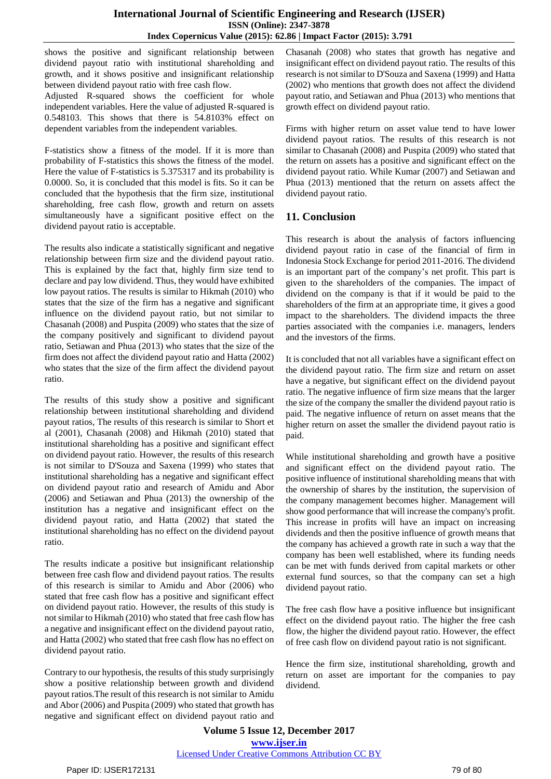shows the positive and significant relationship between dividend payout ratio with institutional shareholding and growth, and it shows positive and insignificant relationship between dividend payout ratio with free cash flow.

Adjusted R-squared shows the coefficient for whole independent variables. Here the value of adjusted R-squared is 0.548103. This shows that there is 54.8103% effect on dependent variables from the independent variables.

F-statistics show a fitness of the model. If it is more than probability of F-statistics this shows the fitness of the model. Here the value of F-statistics is 5.375317 and its probability is 0.0000. So, it is concluded that this model is fits. So it can be concluded that the hypothesis that the firm size, institutional shareholding, free cash flow, growth and return on assets simultaneously have a significant positive effect on the dividend payout ratio is acceptable.

The results also indicate a statistically significant and negative relationship between firm size and the dividend payout ratio. This is explained by the fact that, highly firm size tend to declare and pay low dividend. Thus, they would have exhibited low payout ratios. The results is similar to Hikmah (2010) who states that the size of the firm has a negative and significant influence on the dividend payout ratio, but not similar to Chasanah (2008) and Puspita (2009) who states that the size of the company positively and significant to dividend payout ratio, Setiawan and Phua (2013) who states that the size of the firm does not affect the dividend payout ratio and Hatta (2002) who states that the size of the firm affect the dividend payout ratio.

The results of this study show a positive and significant relationship between institutional shareholding and dividend payout ratios, The results of this research is similar to Short et al (2001), Chasanah (2008) and Hikmah (2010) stated that institutional shareholding has a positive and significant effect on dividend payout ratio. However, the results of this research is not similar to D'Souza and Saxena (1999) who states that institutional shareholding has a negative and significant effect on dividend payout ratio and research of Amidu and Abor (2006) and Setiawan and Phua (2013) the ownership of the institution has a negative and insignificant effect on the dividend payout ratio, and Hatta (2002) that stated the institutional shareholding has no effect on the dividend payout ratio.

The results indicate a positive but insignificant relationship between free cash flow and dividend payout ratios. The results of this research is similar to Amidu and Abor (2006) who stated that free cash flow has a positive and significant effect on dividend payout ratio. However, the results of this study is not similar to Hikmah (2010) who stated that free cash flow has a negative and insignificant effect on the dividend payout ratio, and Hatta (2002) who stated that free cash flow has no effect on dividend payout ratio.

Contrary to our hypothesis, the results of this study surprisingly show a positive relationship between growth and dividend payout ratios.The result of this research is not similar to Amidu and Abor (2006) and Puspita (2009) who stated that growth has negative and significant effect on dividend payout ratio and Chasanah (2008) who states that growth has negative and insignificant effect on dividend payout ratio. The results of this research is not similar to D'Souza and Saxena (1999) and Hatta (2002) who mentions that growth does not affect the dividend payout ratio, and Setiawan and Phua (2013) who mentions that growth effect on dividend payout ratio.

Firms with higher return on asset value tend to have lower dividend payout ratios. The results of this research is not similar to Chasanah (2008) and Puspita (2009) who stated that the return on assets has a positive and significant effect on the dividend payout ratio. While Kumar (2007) and Setiawan and Phua (2013) mentioned that the return on assets affect the dividend payout ratio.

## **11. Conclusion**

This research is about the analysis of factors influencing dividend payout ratio in case of the financial of firm in Indonesia Stock Exchange for period 2011-2016. The dividend is an important part of the company's net profit. This part is given to the shareholders of the companies. The impact of dividend on the company is that if it would be paid to the shareholders of the firm at an appropriate time, it gives a good impact to the shareholders. The dividend impacts the three parties associated with the companies i.e. managers, lenders and the investors of the firms.

It is concluded that not all variables have a significant effect on the dividend payout ratio. The firm size and return on asset have a negative, but significant effect on the dividend payout ratio. The negative influence of firm size means that the larger the size of the company the smaller the dividend payout ratio is paid. The negative influence of return on asset means that the higher return on asset the smaller the dividend payout ratio is paid.

While institutional shareholding and growth have a positive and significant effect on the dividend payout ratio. The positive influence of institutional shareholding means that with the ownership of shares by the institution, the supervision of the company management becomes higher. Management will show good performance that will increase the company's profit. This increase in profits will have an impact on increasing dividends and then the positive influence of growth means that the company has achieved a growth rate in such a way that the company has been well established, where its funding needs can be met with funds derived from capital markets or other external fund sources, so that the company can set a high dividend payout ratio.

The free cash flow have a positive influence but insignificant effect on the dividend payout ratio. The higher the free cash flow, the higher the dividend payout ratio. However, the effect of free cash flow on dividend payout ratio is not significant.

Hence the firm size, institutional shareholding, growth and return on asset are important for the companies to pay dividend.